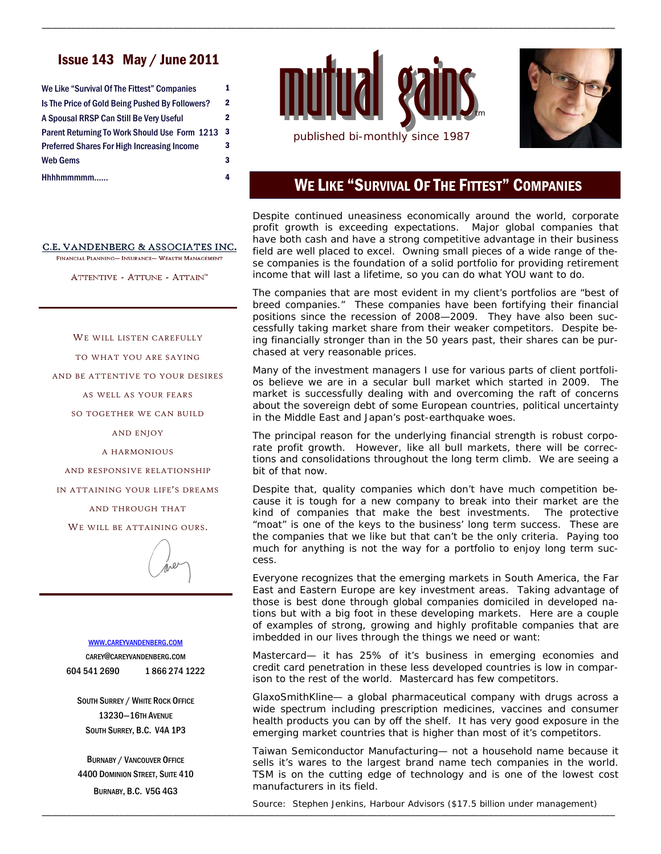## Issue 143 May / June 2011

| We Like "Survival Of The Fittest" Companies        | 1            |
|----------------------------------------------------|--------------|
| Is The Price of Gold Being Pushed By Followers?    | $\mathbf{2}$ |
| A Spousal RRSP Can Still Be Very Useful            | 2            |
| Parent Returning To Work Should Use Form 1213      | 3            |
| <b>Preferred Shares For High Increasing Income</b> | 3            |
| <b>Web Gems</b>                                    | 3            |
| Hhhhmmmmm                                          | 4            |

#### C.E. VANDENBERG & ASSOCIATES INC.

FINANCIAL PLANNING- INSURANCE- WEALTH MANAGEMENT

ATTENTIVE - ATTUNE - ATTAIN<sup>™</sup>

WE WILL LISTEN CAREFULLY

TO WHAT YOU ARE SAYING

AND BE ATTENTIVE TO YOUR DESIRES

AS WELL AS YOUR FEARS

SO TOGETHER WE CAN BUILD

AND ENJOY

A HARMONIOUS

AND RESPONSIVE RELATIONSHIP

IN ATTAINING YOUR LIFE'S DREAMS

AND THROUGH THAT

WE WILL BE ATTAINING OURS.



#### WWW.CAREYVANDENBERG.COM

CAREY@CAREYVANDENBERG.COM 604 541 2690 1 866 274 1222

SOUTH SURREY / WHITE ROCK OFFICE 13230—16TH AVENUE SOUTH SURREY, B.C. V4A 1P3

BURNABY / VANCOUVER OFFICE 4400 DOMINION STREET, SUITE 410 BURNABY, B.C. V5G 4G3



\_\_\_\_\_\_\_\_\_\_\_\_\_\_\_\_\_\_\_\_\_\_\_\_\_\_\_\_\_\_\_\_\_\_\_\_\_\_\_\_\_\_\_\_\_\_\_\_\_\_\_\_\_\_\_\_\_\_\_\_\_\_\_\_\_\_\_\_\_\_\_\_\_\_\_\_\_\_\_\_\_\_\_\_\_\_\_\_\_\_\_\_\_\_\_\_\_\_\_\_\_\_\_\_\_\_\_\_\_\_\_\_\_\_\_\_\_\_



# WE LIKE "SURVIVAL OF THE FITTEST" COMPANIES

Despite continued uneasiness economically around the world, corporate profit growth is exceeding expectations. Major global companies that have both cash and have a strong competitive advantage in their business field are well placed to excel. Owning small pieces of a wide range of these companies is the foundation of a solid portfolio for providing retirement income that will last a lifetime, so you can do what YOU want to do.

The companies that are most evident in my client's portfolios are "best of breed companies." These companies have been fortifying their financial positions since the recession of 2008—2009. They have also been successfully taking market share from their weaker competitors. Despite being financially stronger than in the 50 years past, their shares can be purchased at very reasonable prices.

Many of the investment managers I use for various parts of client portfolios believe we are in a secular bull market which started in 2009. The market is successfully dealing with and overcoming the raft of concerns about the sovereign debt of some European countries, political uncertainty in the Middle East and Japan's post-earthquake woes.

The principal reason for the underlying financial strength is robust corporate profit growth. However, like all bull markets, there will be corrections and consolidations throughout the long term climb. We are seeing a bit of that now.

Despite that, quality companies which don't have much competition because it is tough for a new company to break into their market are the kind of companies that make the best investments. The protective "moat" is one of the keys to the business' long term success. These are the companies that we like but that can't be the only criteria. Paying too much for anything is not the way for a portfolio to enjoy long term success.

Everyone recognizes that the emerging markets in South America, the Far East and Eastern Europe are key investment areas. Taking advantage of those is best done through global companies domiciled in developed nations but with a big foot in these developing markets. Here are a couple of examples of strong, growing and highly profitable companies that are imbedded in our lives through the things we need or want:

Mastercard— it has 25% of it's business in emerging economies and credit card penetration in these less developed countries is low in comparison to the rest of the world. Mastercard has few competitors.

GlaxoSmithKline— a global pharmaceutical company with drugs across a wide spectrum including prescription medicines, vaccines and consumer health products you can by off the shelf. It has very good exposure in the emerging market countries that is higher than most of it's competitors.

Taiwan Semiconductor Manufacturing— not a household name because it sells it's wares to the largest brand name tech companies in the world. TSM is on the cutting edge of technology and is one of the lowest cost manufacturers in its field.

\_\_\_\_\_\_\_\_\_\_\_\_\_\_\_\_\_\_\_\_\_\_\_\_\_\_\_\_\_\_\_\_\_\_\_\_\_\_\_\_\_\_\_\_\_\_\_\_\_\_\_\_\_\_\_\_\_\_\_\_\_\_\_\_\_\_\_\_\_\_\_\_\_\_\_\_\_\_\_\_\_\_\_\_\_\_\_\_\_\_\_\_\_\_\_\_\_\_\_\_\_\_\_\_\_\_\_\_\_\_\_\_\_\_\_\_\_\_ Source: Stephen Jenkins, Harbour Advisors (\$17.5 billion under management)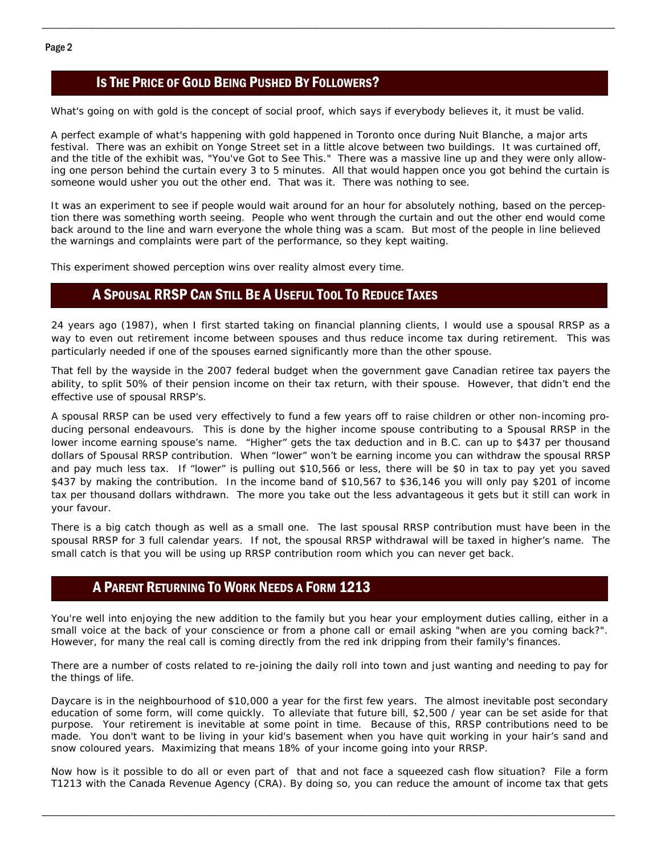### IS THE PRICE OF GOLD BEING PUSHED BY FOLLOWERS?

What's going on with gold is the concept of social proof, which says if everybody believes it, it must be valid.

\_\_\_\_\_\_\_\_\_\_\_\_\_\_\_\_\_\_\_\_\_\_\_\_\_\_\_\_\_\_\_\_\_\_\_\_\_\_\_\_\_\_\_\_\_\_\_\_\_\_\_\_\_\_\_\_\_\_\_\_\_\_\_\_\_\_\_\_\_\_\_\_\_\_\_\_\_\_\_\_\_\_\_\_\_\_\_\_\_\_\_\_\_\_\_\_\_\_\_\_\_\_\_\_\_\_\_\_\_\_\_\_\_\_\_\_\_\_

A perfect example of what's happening with gold happened in Toronto once during Nuit Blanche, a major arts festival. There was an exhibit on Yonge Street set in a little alcove between two buildings. It was curtained off, and the title of the exhibit was, "You've Got to See This." There was a massive line up and they were only allowing one person behind the curtain every 3 to 5 minutes. All that would happen once you got behind the curtain is someone would usher you out the other end. That was it. There was nothing to see.

It was an experiment to see if people would wait around for an hour for absolutely nothing, based on the perception there was something worth seeing. People who went through the curtain and out the other end would come back around to the line and warn everyone the whole thing was a scam. But most of the people in line believed the warnings and complaints were part of the performance, so they kept waiting.

This experiment showed perception wins over reality almost every time.

#### A SPOUSAL RRSP CAN STILL BE A USEFUL TOOL TO REDUCE TAXES

24 years ago (1987), when I first started taking on financial planning clients, I would use a spousal RRSP as a way to even out retirement income between spouses and thus reduce income tax during retirement. This was particularly needed if one of the spouses earned significantly more than the other spouse.

That fell by the wayside in the 2007 federal budget when the government gave Canadian retiree tax payers the ability, to split 50% of their pension income on their tax return, with their spouse. However, that didn't end the effective use of spousal RRSP's.

A spousal RRSP can be used very effectively to fund a few years off to raise children or other non-incoming producing personal endeavours. This is done by the higher income spouse contributing to a Spousal RRSP in the lower income earning spouse's name. "Higher" gets the tax deduction and in B.C. can up to \$437 per thousand dollars of Spousal RRSP contribution. When "lower" won't be earning income you can withdraw the spousal RRSP and pay much less tax. If "lower" is pulling out \$10,566 or less, there will be \$0 in tax to pay yet you saved \$437 by making the contribution. In the income band of \$10,567 to \$36,146 you will only pay \$201 of income tax per thousand dollars withdrawn. The more you take out the less advantageous it gets but it still can work in your favour.

There is a big catch though as well as a small one. The last spousal RRSP contribution must have been in the spousal RRSP for 3 full calendar years. If not, the spousal RRSP withdrawal will be taxed in higher's name. The small catch is that you will be using up RRSP contribution room which you can never get back.

#### A PARENT RETURNING TO WORK NEEDS A FORM 1213

You're well into enjoying the new addition to the family but you hear your employment duties calling, either in a small voice at the back of your conscience or from a phone call or email asking "when are you coming back?". However, for many the real call is coming directly from the red ink dripping from their family's finances.

There are a number of costs related to re-joining the daily roll into town and just wanting and needing to pay for the things of life.

Daycare is in the neighbourhood of \$10,000 a year for the first few years. The almost inevitable post secondary education of some form, will come quickly. To alleviate that future bill, \$2,500 / year can be set aside for that purpose. Your retirement is inevitable at some point in time. Because of this, RRSP contributions need to be made. You don't want to be living in your kid's basement when you have quit working in your hair's sand and snow coloured years. Maximizing that means 18% of your income going into your RRSP.

Now how is it possible to do all or even part of that and not face a squeezed cash flow situation? File a form T1213 with the Canada Revenue Agency (CRA). By doing so, you can reduce the amount of income tax that gets

\_\_\_\_\_\_\_\_\_\_\_\_\_\_\_\_\_\_\_\_\_\_\_\_\_\_\_\_\_\_\_\_\_\_\_\_\_\_\_\_\_\_\_\_\_\_\_\_\_\_\_\_\_\_\_\_\_\_\_\_\_\_\_\_\_\_\_\_\_\_\_\_\_\_\_\_\_\_\_\_\_\_\_\_\_\_\_\_\_\_\_\_\_\_\_\_\_\_\_\_\_\_\_\_\_\_\_\_\_\_\_\_\_\_\_\_\_\_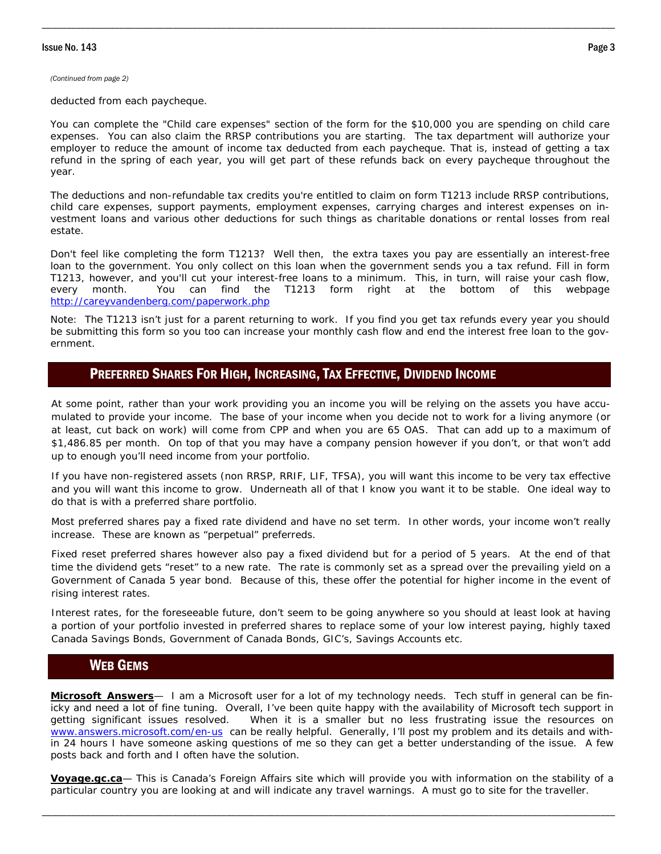*(Continued from page 2)* 

deducted from each paycheque.

You can complete the "Child care expenses" section of the form for the \$10,000 you are spending on child care expenses. You can also claim the RRSP contributions you are starting. The tax department will authorize your employer to reduce the amount of income tax deducted from each paycheque. That is, instead of getting a tax refund in the spring of each year, you will get part of these refunds back on every paycheque throughout the year.

\_\_\_\_\_\_\_\_\_\_\_\_\_\_\_\_\_\_\_\_\_\_\_\_\_\_\_\_\_\_\_\_\_\_\_\_\_\_\_\_\_\_\_\_\_\_\_\_\_\_\_\_\_\_\_\_\_\_\_\_\_\_\_\_\_\_\_\_\_\_\_\_\_\_\_\_\_\_\_\_\_\_\_\_\_\_\_\_\_\_\_\_\_\_\_\_\_\_\_\_\_\_\_\_\_\_\_\_\_\_\_\_\_\_\_\_\_\_

The deductions and non-refundable tax credits you're entitled to claim on form T1213 include RRSP contributions, child care expenses, support payments, employment expenses, carrying charges and interest expenses on investment loans and various other deductions for such things as charitable donations or rental losses from real estate.

Don't feel like completing the form T1213? Well then, the extra taxes you pay are essentially an interest-free loan to the government. You only collect on this loan when the government sends you a tax refund. Fill in form T1213, however, and you'll cut your interest-free loans to a minimum. This, in turn, will raise your cash flow, every month. You can find the T1213 form right at the bottom of this webpage http://careyvandenberg.com/paperwork.php

Note: The T1213 isn't just for a parent returning to work. If you find you get tax refunds every year you should be submitting this form so you too can increase your monthly cash flow and end the interest free loan to the government.

#### PREFERRED SHARES FOR HIGH, INCREASING, TAX EFFECTIVE, DIVIDEND INCOME

At some point, rather than your work providing you an income you will be relying on the assets you have accumulated to provide your income. The base of your income when you decide not to work for a living anymore (or at least, cut back on work) will come from CPP and when you are 65 OAS. That can add up to a maximum of \$1,486.85 per month. On top of that you may have a company pension however if you don't, or that won't add up to enough you'll need income from your portfolio.

If you have non-registered assets (non RRSP, RRIF, LIF, TFSA), you will want this income to be very tax effective and you will want this income to grow. Underneath all of that I know you want it to be stable. One ideal way to do that is with a preferred share portfolio.

Most preferred shares pay a fixed rate dividend and have no set term. In other words, your income won't really increase. These are known as "perpetual" preferreds.

Fixed reset preferred shares however also pay a fixed dividend but for a period of 5 years. At the end of that time the dividend gets "reset" to a new rate. The rate is commonly set as a spread over the prevailing yield on a Government of Canada 5 year bond. Because of this, these offer the potential for higher income in the event of rising interest rates.

Interest rates, for the foreseeable future, don't seem to be going anywhere so you should at least look at having a portion of your portfolio invested in preferred shares to replace some of your low interest paying, highly taxed Canada Savings Bonds, Government of Canada Bonds, GIC's, Savings Accounts etc.

#### WEB GEMS

**Microsoft Answers**— I am a Microsoft user for a lot of my technology needs. Tech stuff in general can be finicky and need a lot of fine tuning. Overall, I've been quite happy with the availability of Microsoft tech support in getting significant issues resolved. When it is a smaller but no less frustrating issue the resources on www.answers.microsoft.com/en-us can be really helpful. Generally, I'll post my problem and its details and within 24 hours I have someone asking questions of me so they can get a better understanding of the issue. A few posts back and forth and I often have the solution.

**Voyage.gc.ca**— This is Canada's Foreign Affairs site which will provide you with information on the stability of a particular country you are looking at and will indicate any travel warnings. A must go to site for the traveller.

\_\_\_\_\_\_\_\_\_\_\_\_\_\_\_\_\_\_\_\_\_\_\_\_\_\_\_\_\_\_\_\_\_\_\_\_\_\_\_\_\_\_\_\_\_\_\_\_\_\_\_\_\_\_\_\_\_\_\_\_\_\_\_\_\_\_\_\_\_\_\_\_\_\_\_\_\_\_\_\_\_\_\_\_\_\_\_\_\_\_\_\_\_\_\_\_\_\_\_\_\_\_\_\_\_\_\_\_\_\_\_\_\_\_\_\_\_\_